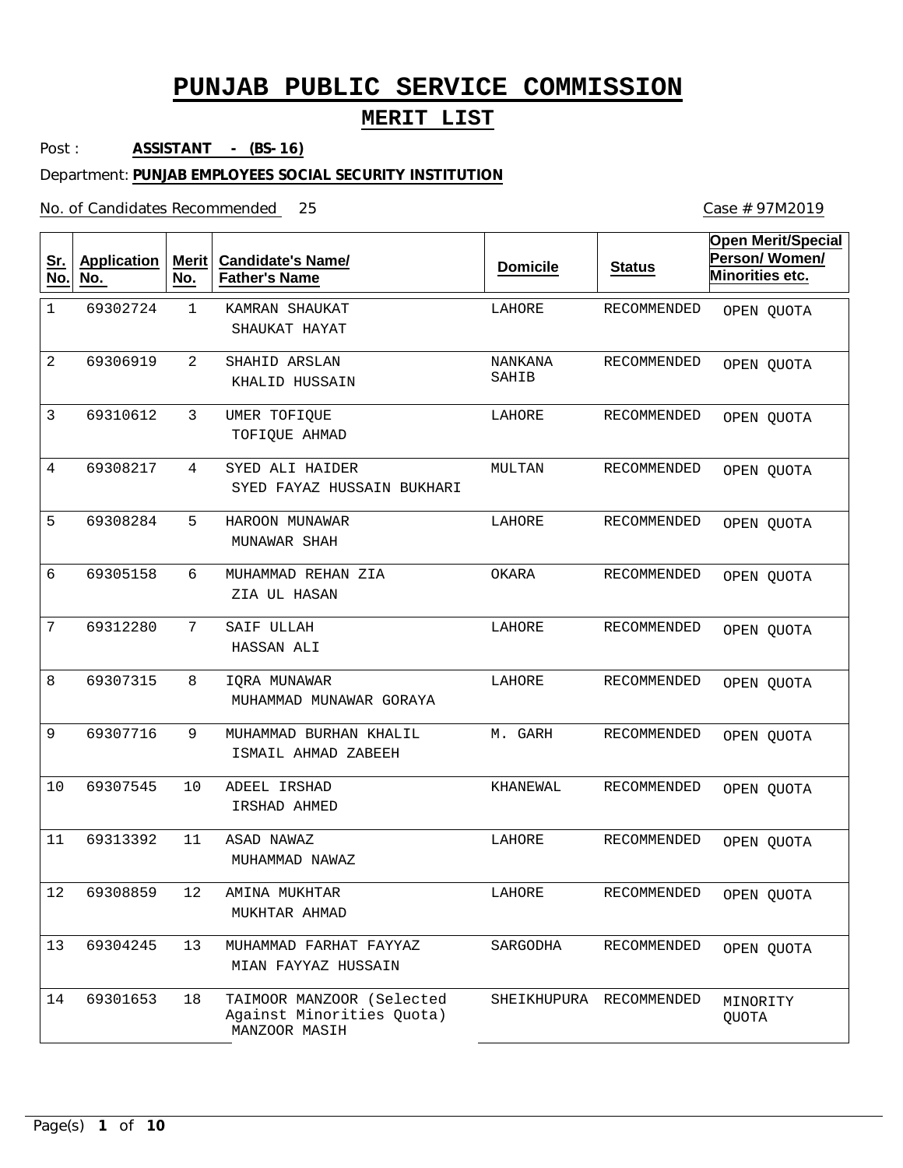## **MERIT LIST**

Post : **ASSISTANT - (BS-16)**

#### Department: **PUNJAB EMPLOYEES SOCIAL SECURITY INSTITUTION**

No. of Candidates Recommended

| <u>Sr.</u><br>No. | <b>Application</b><br>No. | <b>Merit</b><br>No. | <b>Candidate's Name/</b><br><b>Father's Name</b>                        | <b>Domicile</b>  | <b>Status</b>           | <b>Open Merit/Special</b><br>Person/Women/<br>Minorities etc. |
|-------------------|---------------------------|---------------------|-------------------------------------------------------------------------|------------------|-------------------------|---------------------------------------------------------------|
| $\mathbf 1$       | 69302724                  | $\mathbf 1$         | KAMRAN SHAUKAT<br>SHAUKAT HAYAT                                         | LAHORE           | RECOMMENDED             | OPEN QUOTA                                                    |
| 2                 | 69306919                  | 2                   | SHAHID ARSLAN<br>KHALID HUSSAIN                                         | NANKANA<br>SAHIB | RECOMMENDED             | OPEN QUOTA                                                    |
| 3                 | 69310612                  | 3                   | UMER TOFIQUE<br>TOFIQUE AHMAD                                           | LAHORE           | RECOMMENDED             | OPEN QUOTA                                                    |
| $\overline{4}$    | 69308217                  | 4                   | SYED ALI HAIDER<br>SYED FAYAZ HUSSAIN BUKHARI                           | MULTAN           | RECOMMENDED             | OPEN QUOTA                                                    |
| 5                 | 69308284                  | 5                   | HAROON MUNAWAR<br>MUNAWAR SHAH                                          | LAHORE           | RECOMMENDED             | OPEN QUOTA                                                    |
| 6                 | 69305158                  | 6                   | MUHAMMAD REHAN ZIA<br>ZIA UL HASAN                                      | OKARA            | RECOMMENDED             | OPEN QUOTA                                                    |
| 7                 | 69312280                  | 7                   | SAIF ULLAH<br>HASSAN ALI                                                | LAHORE           | RECOMMENDED             | OPEN QUOTA                                                    |
| 8                 | 69307315                  | 8                   | IQRA MUNAWAR<br>MUHAMMAD MUNAWAR GORAYA                                 | LAHORE           | RECOMMENDED             | OPEN QUOTA                                                    |
| 9                 | 69307716                  | 9                   | MUHAMMAD BURHAN KHALIL<br>ISMAIL AHMAD ZABEEH                           | M. GARH          | RECOMMENDED             | OPEN QUOTA                                                    |
| 10                | 69307545                  | 10                  | ADEEL IRSHAD<br>IRSHAD AHMED                                            | KHANEWAL         | RECOMMENDED             | OPEN QUOTA                                                    |
| 11                | 69313392                  | 11                  | ASAD NAWAZ<br>MUHAMMAD NAWAZ                                            | LAHORE           | RECOMMENDED             | OPEN QUOTA                                                    |
| $12$              | 69308859                  | 12                  | AMINA MUKHTAR<br>MUKHTAR AHMAD                                          | LAHORE           | RECOMMENDED             | OPEN QUOTA                                                    |
| 13                | 69304245                  | 13                  | MUHAMMAD FARHAT FAYYAZ<br>MIAN FAYYAZ HUSSAIN                           | SARGODHA         | RECOMMENDED             | OPEN QUOTA                                                    |
| 14                | 69301653                  | 18                  | TAIMOOR MANZOOR (Selected<br>Against Minorities Quota)<br>MANZOOR MASIH |                  | SHEIKHUPURA RECOMMENDED | MINORITY<br>QUOTA                                             |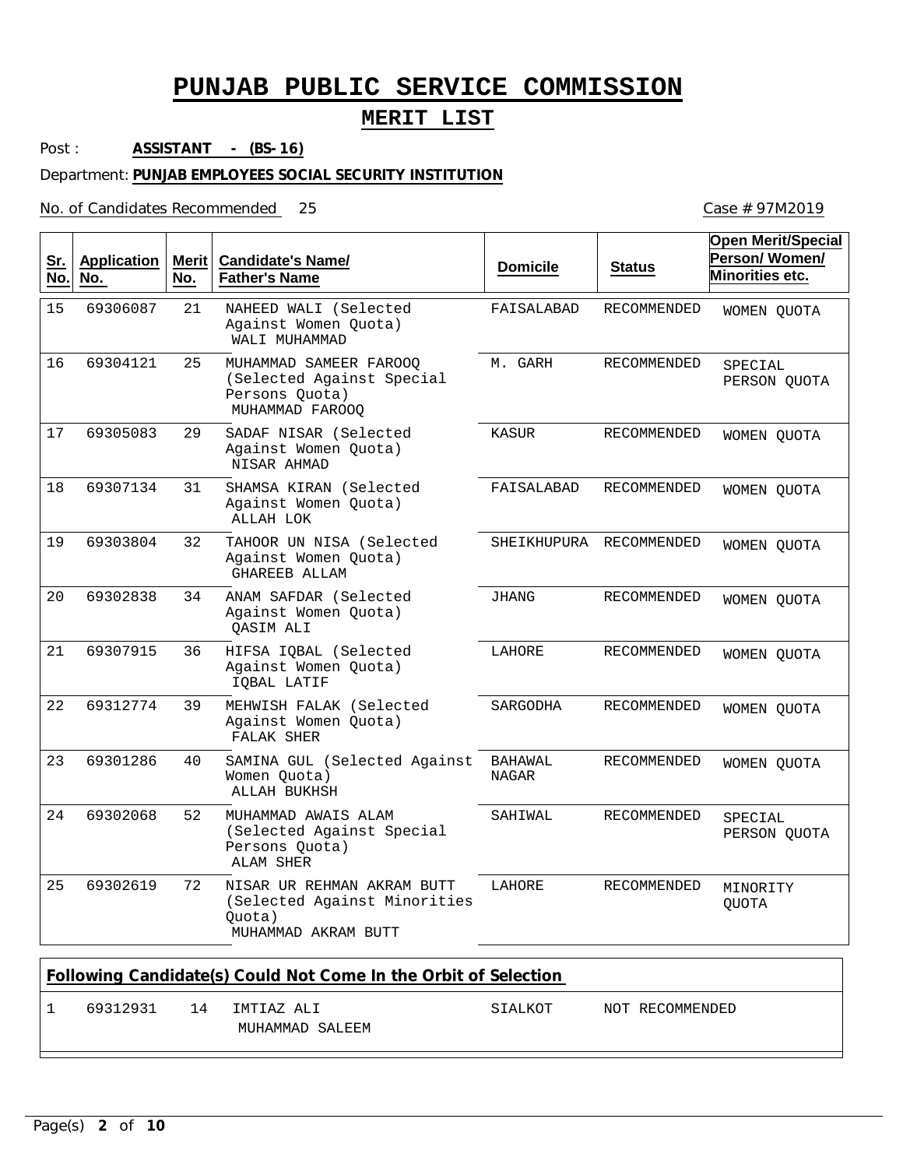### **MERIT LIST**

Post : **ASSISTANT - (BS-16)**

#### Department: **PUNJAB EMPLOYEES SOCIAL SECURITY INSTITUTION**

No. of Candidates Recommended

| Sr.<br>No. | <b>Application</b><br>No. | <b>Merit</b><br>No. | <b>Candidate's Name/</b><br><b>Father's Name</b>                                            | <b>Domicile</b>                | <b>Status</b>      | <b>Open Merit/Special</b><br>Person/Women/<br>Minorities etc. |
|------------|---------------------------|---------------------|---------------------------------------------------------------------------------------------|--------------------------------|--------------------|---------------------------------------------------------------|
| 15         | 69306087                  | 21                  | NAHEED WALI (Selected<br>Against Women Quota)<br>WALI MUHAMMAD                              | FAISALABAD                     | <b>RECOMMENDED</b> | WOMEN OUOTA                                                   |
| 16         | 69304121                  | 25                  | MUHAMMAD SAMEER FAROOO<br>(Selected Against Special<br>Persons Quota)<br>MUHAMMAD FAROOQ    | M. GARH                        | RECOMMENDED        | SPECIAL<br>PERSON QUOTA                                       |
| 17         | 69305083                  | 29                  | SADAF NISAR (Selected<br>Against Women Quota)<br>NISAR AHMAD                                | <b>KASUR</b>                   | <b>RECOMMENDED</b> | WOMEN OUOTA                                                   |
| 18         | 69307134                  | 31                  | SHAMSA KIRAN (Selected<br>Against Women Quota)<br>ALLAH LOK                                 | FAISALABAD                     | RECOMMENDED        | WOMEN QUOTA                                                   |
| 19         | 69303804                  | 32                  | TAHOOR UN NISA (Selected<br>Against Women Quota)<br><b>GHAREEB ALLAM</b>                    | SHEIKHUPURA                    | RECOMMENDED        | WOMEN QUOTA                                                   |
| 20         | 69302838                  | 34                  | ANAM SAFDAR (Selected<br>Against Women Quota)<br><b>OASIM ALI</b>                           | <b>JHANG</b>                   | <b>RECOMMENDED</b> | WOMEN QUOTA                                                   |
| 21         | 69307915                  | 36                  | HIFSA IOBAL (Selected<br>Against Women Quota)<br>IQBAL LATIF                                | LAHORE                         | RECOMMENDED        | WOMEN QUOTA                                                   |
| 22         | 69312774                  | 39                  | MEHWISH FALAK (Selected<br>Against Women Quota)<br>FALAK SHER                               | SARGODHA                       | <b>RECOMMENDED</b> | WOMEN QUOTA                                                   |
| 23         | 69301286                  | 40                  | SAMINA GUL (Selected Against<br>Women Quota)<br>ALLAH BUKHSH                                | <b>BAHAWAL</b><br><b>NAGAR</b> | RECOMMENDED        | WOMEN QUOTA                                                   |
| 24         | 69302068                  | 52                  | MUHAMMAD AWAIS ALAM<br>(Selected Against Special<br>Persons Quota)<br>ALAM SHER             | SAHIWAL                        | RECOMMENDED        | SPECIAL<br>PERSON QUOTA                                       |
| 25         | 69302619                  | 72                  | NISAR UR REHMAN AKRAM BUTT<br>(Selected Against Minorities<br>Quota)<br>MUHAMMAD AKRAM BUTT | LAHORE                         | <b>RECOMMENDED</b> | MINORITY<br><b>QUOTA</b>                                      |

| Following Candidate(s) Could Not Come In the Orbit of Selection |    |                               |         |                 |  |  |  |  |
|-----------------------------------------------------------------|----|-------------------------------|---------|-----------------|--|--|--|--|
| 69312931                                                        | 14 | TMTTAZ ALT<br>MUHAMMAD SALEEM | STALKOT | NOT RECOMMENDED |  |  |  |  |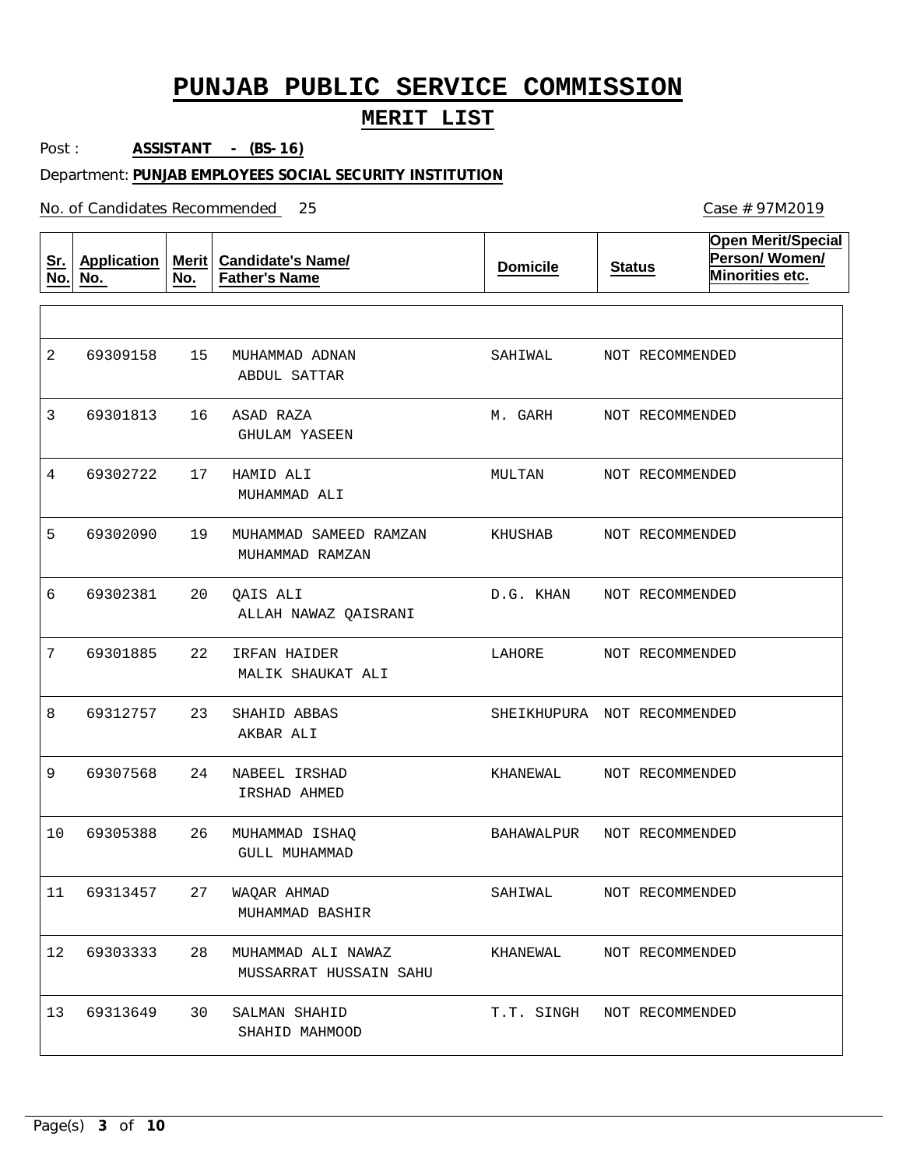## **MERIT LIST**

Post : **ASSISTANT - (BS-16)**

#### Department: **PUNJAB EMPLOYEES SOCIAL SECURITY INSTITUTION**

No. of Candidates Recommended

| <u>Sr.</u><br>No. | <b>Application</b><br>No. | Merit<br>No. | <b>Candidate's Name/</b><br><b>Father's Name</b> | <b>Domicile</b>             | <b>Status</b> | <b>Open Merit/Special</b><br>Person/Women/<br>Minorities etc. |
|-------------------|---------------------------|--------------|--------------------------------------------------|-----------------------------|---------------|---------------------------------------------------------------|
|                   |                           |              |                                                  |                             |               |                                                               |
| 2                 | 69309158                  | 15           | MUHAMMAD ADNAN<br>ABDUL SATTAR                   | SAHIWAL                     |               | NOT RECOMMENDED                                               |
| 3                 | 69301813                  | 16           | ASAD RAZA<br><b>GHULAM YASEEN</b>                | M. GARH                     |               | NOT RECOMMENDED                                               |
| 4                 | 69302722                  | 17           | HAMID ALI<br>MUHAMMAD ALI                        | MULTAN                      |               | NOT RECOMMENDED                                               |
| 5                 | 69302090                  | 19           | MUHAMMAD SAMEED RAMZAN<br>MUHAMMAD RAMZAN        | KHUSHAB                     |               | NOT RECOMMENDED                                               |
| 6                 | 69302381                  | 20           | QAIS ALI<br>ALLAH NAWAZ QAISRANI                 | D.G. KHAN                   |               | NOT RECOMMENDED                                               |
| 7                 | 69301885                  | 22           | IRFAN HAIDER<br>MALIK SHAUKAT ALI                | LAHORE                      |               | NOT RECOMMENDED                                               |
| 8                 | 69312757                  | 23           | SHAHID ABBAS<br>AKBAR ALI                        | SHEIKHUPURA NOT RECOMMENDED |               |                                                               |
| 9                 | 69307568                  | 24           | NABEEL IRSHAD<br>IRSHAD AHMED                    | KHANEWAL                    |               | NOT RECOMMENDED                                               |
| 10                | 69305388                  | 26           | MUHAMMAD ISHAQ<br>GULL MUHAMMAD                  | BAHAWALPUR                  |               | NOT RECOMMENDED                                               |
| 11                | 69313457                  | 27           | WAQAR AHMAD<br>MUHAMMAD BASHIR                   | SAHIWAL                     |               | NOT RECOMMENDED                                               |
| 12 <sub>2</sub>   | 69303333                  | 28           | MUHAMMAD ALI NAWAZ<br>MUSSARRAT HUSSAIN SAHU     | KHANEWAL                    |               | NOT RECOMMENDED                                               |
| 13                | 69313649                  | 30           | SALMAN SHAHID<br>SHAHID MAHMOOD                  | T.T. SINGH NOT RECOMMENDED  |               |                                                               |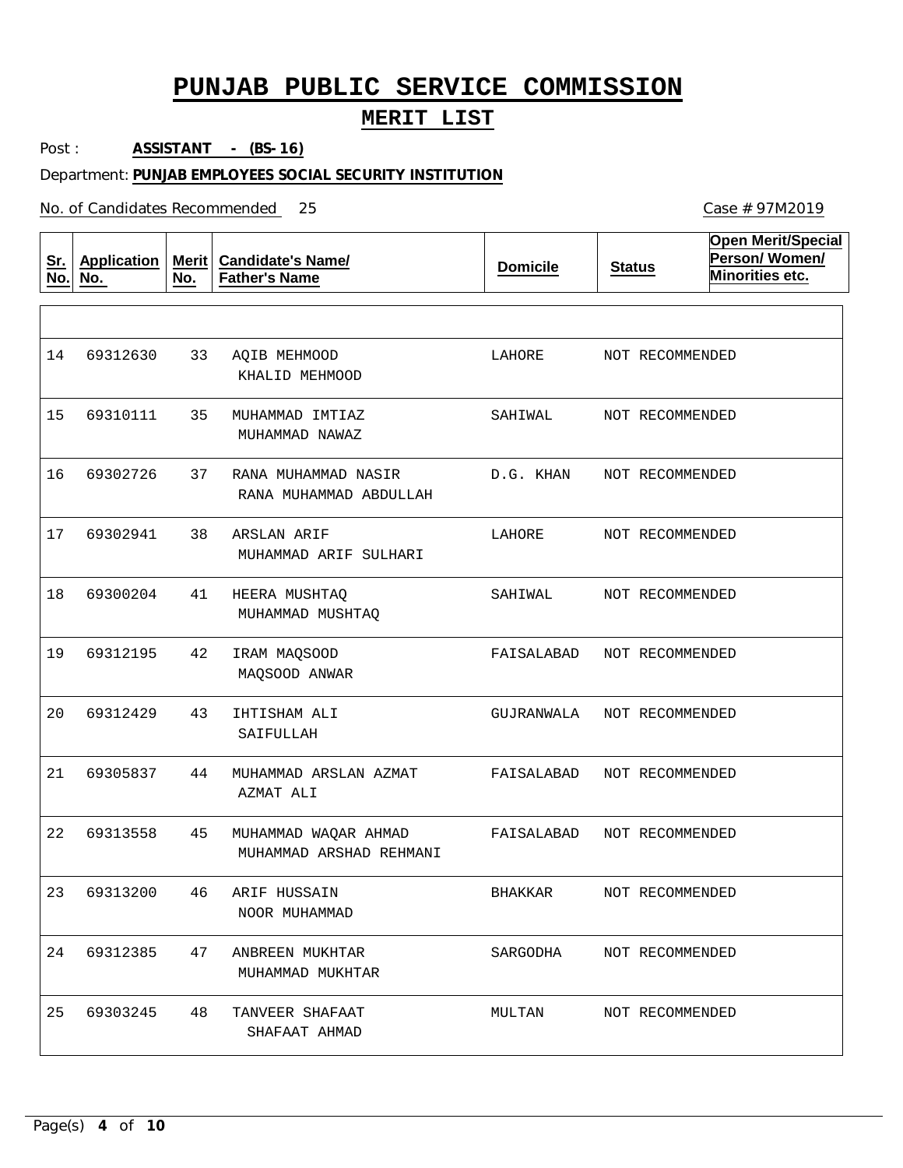## **MERIT LIST**

Post : **ASSISTANT - (BS-16)**

#### Department: **PUNJAB EMPLOYEES SOCIAL SECURITY INSTITUTION**

No. of Candidates Recommended

| <u>Sr.</u><br>No. | <b>Application</b><br>No. | Merit $ $<br>No. | <b>Candidate's Name/</b><br><b>Father's Name</b> | <b>Domicile</b> | <b>Status</b>   | <b>Open Merit/Special</b><br>Person/Women/<br>Minorities etc. |
|-------------------|---------------------------|------------------|--------------------------------------------------|-----------------|-----------------|---------------------------------------------------------------|
|                   |                           |                  |                                                  |                 |                 |                                                               |
| 14                | 69312630                  | 33               | AQIB MEHMOOD<br>KHALID MEHMOOD                   | LAHORE          | NOT RECOMMENDED |                                                               |
| 15                | 69310111                  | 35               | MUHAMMAD IMTIAZ<br>MUHAMMAD NAWAZ                | SAHIWAL         | NOT RECOMMENDED |                                                               |
| 16                | 69302726                  | 37               | RANA MUHAMMAD NASIR<br>RANA MUHAMMAD ABDULLAH    | D.G. KHAN       | NOT RECOMMENDED |                                                               |
| 17                | 69302941                  | 38               | ARSLAN ARIF<br>MUHAMMAD ARIF SULHARI             | LAHORE          | NOT RECOMMENDED |                                                               |
| 18                | 69300204                  | 41               | HEERA MUSHTAO<br>MUHAMMAD MUSHTAQ                | SAHIWAL         | NOT RECOMMENDED |                                                               |
| 19                | 69312195                  | 42               | IRAM MAQSOOD<br>MAQSOOD ANWAR                    | FAISALABAD      | NOT RECOMMENDED |                                                               |
| 20                | 69312429                  | 43               | IHTISHAM ALI<br>SAIFULLAH                        | GUJRANWALA      | NOT RECOMMENDED |                                                               |
| 21                | 69305837                  | 44               | MUHAMMAD ARSLAN AZMAT<br>AZMAT ALI               | FAISALABAD      | NOT RECOMMENDED |                                                               |
| 22                | 69313558                  | 45               | MUHAMMAD WAQAR AHMAD<br>MUHAMMAD ARSHAD REHMANI  | FAISALABAD      | NOT RECOMMENDED |                                                               |
| 23                | 69313200                  | 46               | ARIF HUSSAIN<br>NOOR MUHAMMAD                    | <b>BHAKKAR</b>  | NOT RECOMMENDED |                                                               |
| 24                | 69312385                  | 47               | ANBREEN MUKHTAR<br>MUHAMMAD MUKHTAR              | SARGODHA        | NOT RECOMMENDED |                                                               |
| 25                | 69303245                  | 48               | TANVEER SHAFAAT<br>SHAFAAT AHMAD                 | MULTAN          | NOT RECOMMENDED |                                                               |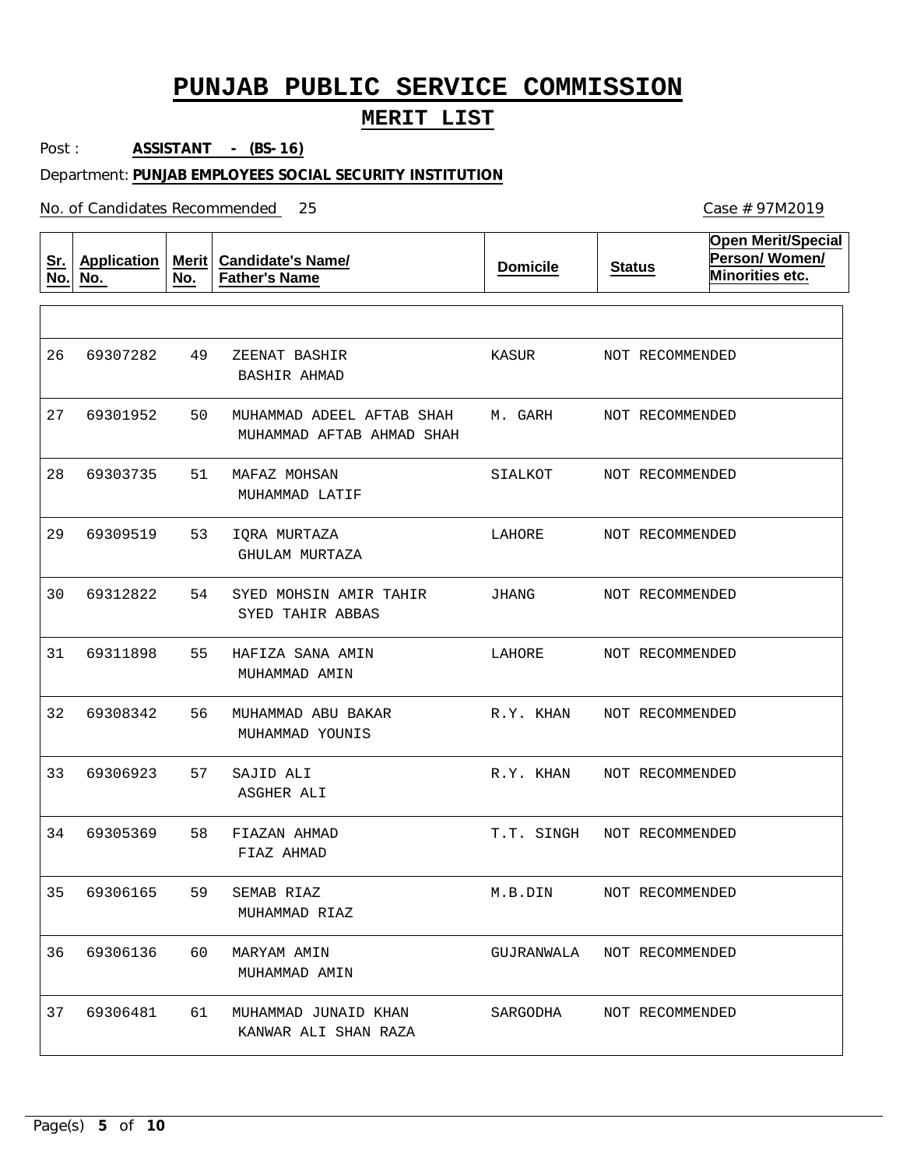## **MERIT LIST**

Post : **ASSISTANT - (BS-16)**

#### Department: **PUNJAB EMPLOYEES SOCIAL SECURITY INSTITUTION**

No. of Candidates Recommended

| <u>Sr.</u><br>No. | <b>Application</b><br>No. | <b>Merit</b><br>No. | <b>Candidate's Name/</b><br><b>Father's Name</b>       | <b>Domicile</b> | <b>Status</b>   | <b>Open Merit/Special</b><br>Person/Women/<br>Minorities etc. |
|-------------------|---------------------------|---------------------|--------------------------------------------------------|-----------------|-----------------|---------------------------------------------------------------|
|                   |                           |                     |                                                        |                 |                 |                                                               |
| 26                | 69307282                  | 49                  | ZEENAT BASHIR<br><b>BASHIR AHMAD</b>                   | KASUR           | NOT RECOMMENDED |                                                               |
| 27                | 69301952                  | 50                  | MUHAMMAD ADEEL AFTAB SHAH<br>MUHAMMAD AFTAB AHMAD SHAH | M. GARH         | NOT RECOMMENDED |                                                               |
| 28                | 69303735                  | 51                  | MAFAZ MOHSAN<br>MUHAMMAD LATIF                         | SIALKOT         | NOT RECOMMENDED |                                                               |
| 29                | 69309519                  | 53                  | IQRA MURTAZA<br>GHULAM MURTAZA                         | LAHORE          | NOT RECOMMENDED |                                                               |
| 30                | 69312822                  | 54                  | SYED MOHSIN AMIR TAHIR<br>SYED TAHIR ABBAS             | JHANG           | NOT RECOMMENDED |                                                               |
| 31                | 69311898                  | 55                  | HAFIZA SANA AMIN<br>MUHAMMAD AMIN                      | LAHORE          | NOT RECOMMENDED |                                                               |
| 32                | 69308342                  | 56                  | MUHAMMAD ABU BAKAR<br>MUHAMMAD YOUNIS                  | R.Y. KHAN       | NOT RECOMMENDED |                                                               |
| 33                | 69306923                  | 57                  | SAJID ALI<br>ASGHER ALI                                | R.Y. KHAN       | NOT RECOMMENDED |                                                               |
| 34                | 69305369                  | 58                  | FIAZAN AHMAD<br>FIAZ AHMAD                             | T.T. SINGH      | NOT RECOMMENDED |                                                               |
| 35                | 69306165                  | 59                  | SEMAB RIAZ<br>MUHAMMAD RIAZ                            | M.B.DIN         | NOT RECOMMENDED |                                                               |
| 36                | 69306136                  | 60                  | MARYAM AMIN<br>MUHAMMAD AMIN                           | GUJRANWALA      | NOT RECOMMENDED |                                                               |
| 37                | 69306481                  | 61                  | MUHAMMAD JUNAID KHAN<br>KANWAR ALI SHAN RAZA           | SARGODHA        | NOT RECOMMENDED |                                                               |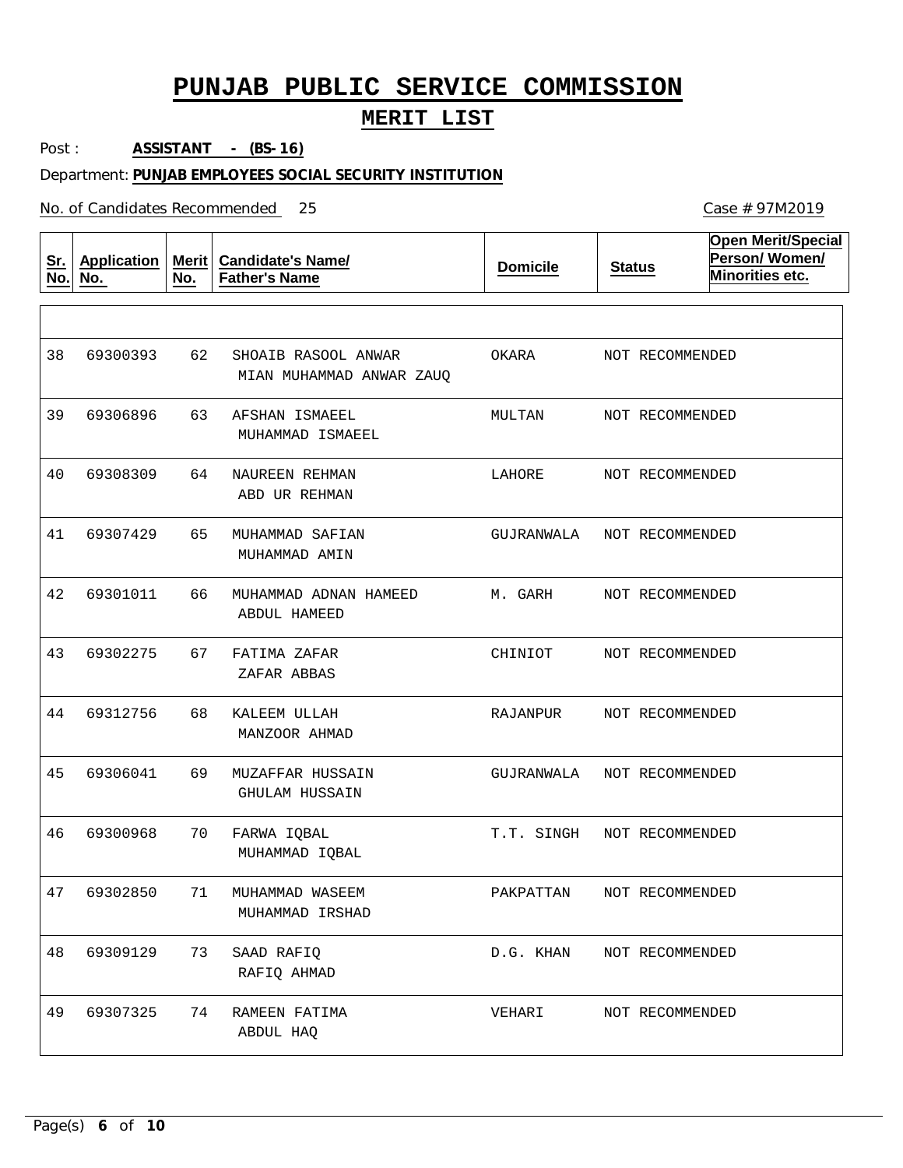### **MERIT LIST**

Post : **ASSISTANT - (BS-16)**

#### Department: **PUNJAB EMPLOYEES SOCIAL SECURITY INSTITUTION**

No. of Candidates Recommended

**Sr. No. Application No. Merit No. Candidate's Name/ Father's Name Domicile Status Open Merit/Special Person/ Women/ Minorities etc.** 62 63 64 65 66 67 68 69 70 71 73 74 SHOAIB RASOOL ANWAR AFSHAN ISMAEEL NAUREEN REHMAN MUHAMMAD SAFIAN MUHAMMAD ADNAN HAMEED FATIMA ZAFAR KALEEM ULLAH MUZAFFAR HUSSAIN FARWA IQBAL MUHAMMAD WASEEM SAAD RAFIQ RAMEEN FATIMA MIAN MUHAMMAD ANWAR ZAUQ MUHAMMAD ISMAEEL ABD UR REHMAN MUHAMMAD AMIN ABDUL HAMEED ZAFAR ABBAS MANZOOR AHMAD GHULAM HUSSAIN MUHAMMAD IQBAL MUHAMMAD IRSHAD RAFIQ AHMAD ABDUL HAQ 38 39 69306896 40 41 42 43 44 45 46 47 48 49 69300393 69308309 69307429 69301011 69302275 69312756 69306041 69300968 69302850 69309129 69307325 OKARA MULTAN LAHORE GUJRANWALA M. GARH CHINIOT RAJANPUR GUJRANWALA T.T. SINGH PAKPATTAN D.G. KHAN VEHARI NOT RECOMMENDED NOT RECOMMENDED NOT RECOMMENDED NOT RECOMMENDED NOT RECOMMENDED NOT RECOMMENDED NOT RECOMMENDED NOT RECOMMENDED NOT RECOMMENDED NOT RECOMMENDED NOT RECOMMENDED NOT RECOMMENDED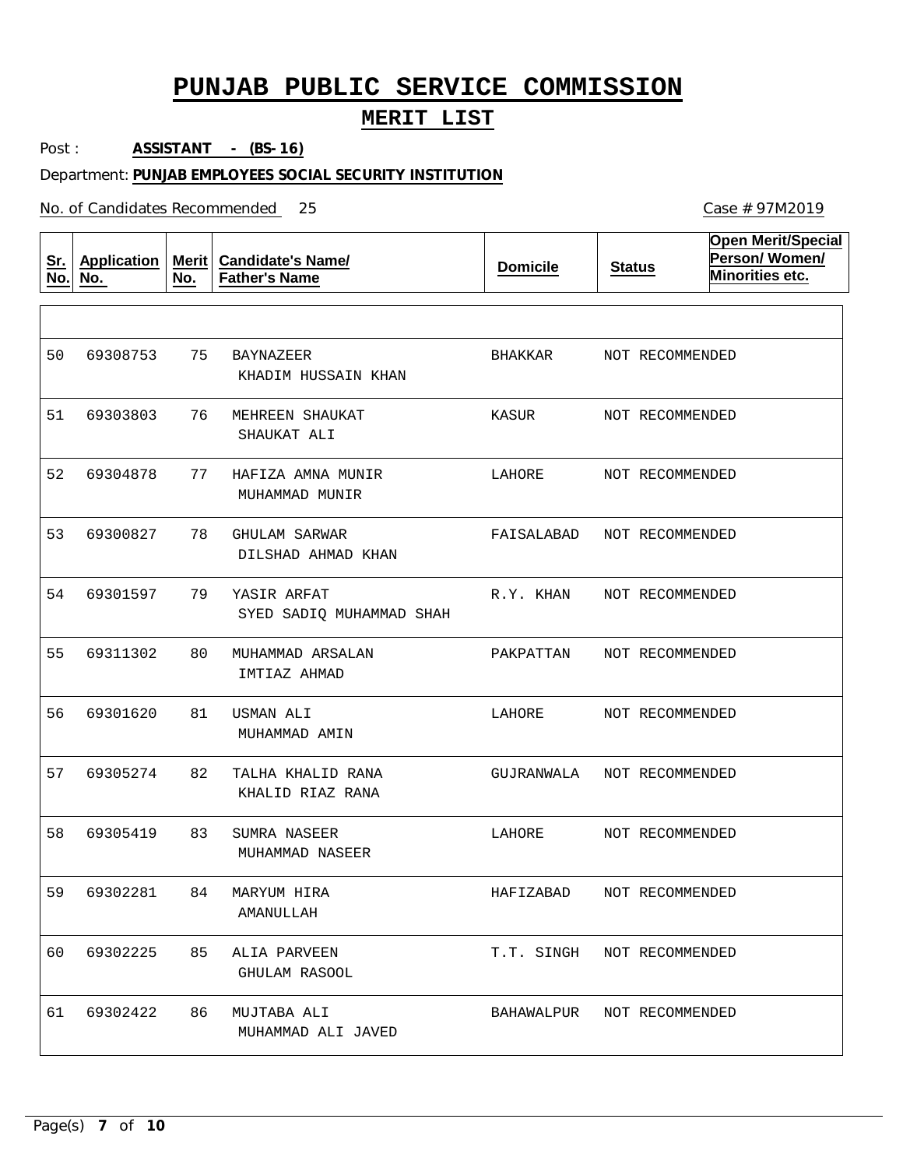## **MERIT LIST**

Post : **ASSISTANT - (BS-16)**

#### Department: **PUNJAB EMPLOYEES SOCIAL SECURITY INSTITUTION**

No. of Candidates Recommended

| <u>Sr.</u><br>No. | <b>Application</b><br>No. | Merit $ $<br>No. | <b>Candidate's Name/</b><br><b>Father's Name</b> | <b>Domicile</b> | <b>Status</b>              | <b>Open Merit/Special</b><br>Person/Women/<br>Minorities etc. |
|-------------------|---------------------------|------------------|--------------------------------------------------|-----------------|----------------------------|---------------------------------------------------------------|
|                   |                           |                  |                                                  |                 |                            |                                                               |
| 50                | 69308753                  | 75               | BAYNAZEER<br>KHADIM HUSSAIN KHAN                 | BHAKKAR         | NOT RECOMMENDED            |                                                               |
| 51                | 69303803                  | 76               | MEHREEN SHAUKAT<br>SHAUKAT ALI                   | KASUR           | NOT RECOMMENDED            |                                                               |
| 52                | 69304878                  | 77               | HAFIZA AMNA MUNIR<br>MUHAMMAD MUNIR              | LAHORE          | NOT RECOMMENDED            |                                                               |
| 53                | 69300827                  | 78               | GHULAM SARWAR<br>DILSHAD AHMAD KHAN              | FAISALABAD      | NOT RECOMMENDED            |                                                               |
| 54                | 69301597                  | 79               | YASIR ARFAT<br>SYED SADIO MUHAMMAD SHAH          | R.Y. KHAN       | NOT RECOMMENDED            |                                                               |
| 55                | 69311302                  | 80               | MUHAMMAD ARSALAN<br>IMTIAZ AHMAD                 | PAKPATTAN       | NOT RECOMMENDED            |                                                               |
| 56                | 69301620                  | 81               | USMAN ALI<br>MUHAMMAD AMIN                       | LAHORE          | NOT RECOMMENDED            |                                                               |
| 57                | 69305274                  | 82               | TALHA KHALID RANA<br>KHALID RIAZ RANA            | GUJRANWALA      | NOT RECOMMENDED            |                                                               |
| 58                | 69305419                  | 83               | SUMRA NASEER<br>MUHAMMAD NASEER                  | LAHORE          | NOT RECOMMENDED            |                                                               |
| 59                | 69302281                  | 84               | MARYUM HIRA<br>AMANULLAH                         | HAFIZABAD       | NOT RECOMMENDED            |                                                               |
| 60                | 69302225                  | 85               | ALIA PARVEEN<br><b>GHULAM RASOOL</b>             |                 | T.T. SINGH NOT RECOMMENDED |                                                               |
| 61                | 69302422                  | 86               | MUJTABA ALI<br>MUHAMMAD ALI JAVED                |                 | BAHAWALPUR NOT RECOMMENDED |                                                               |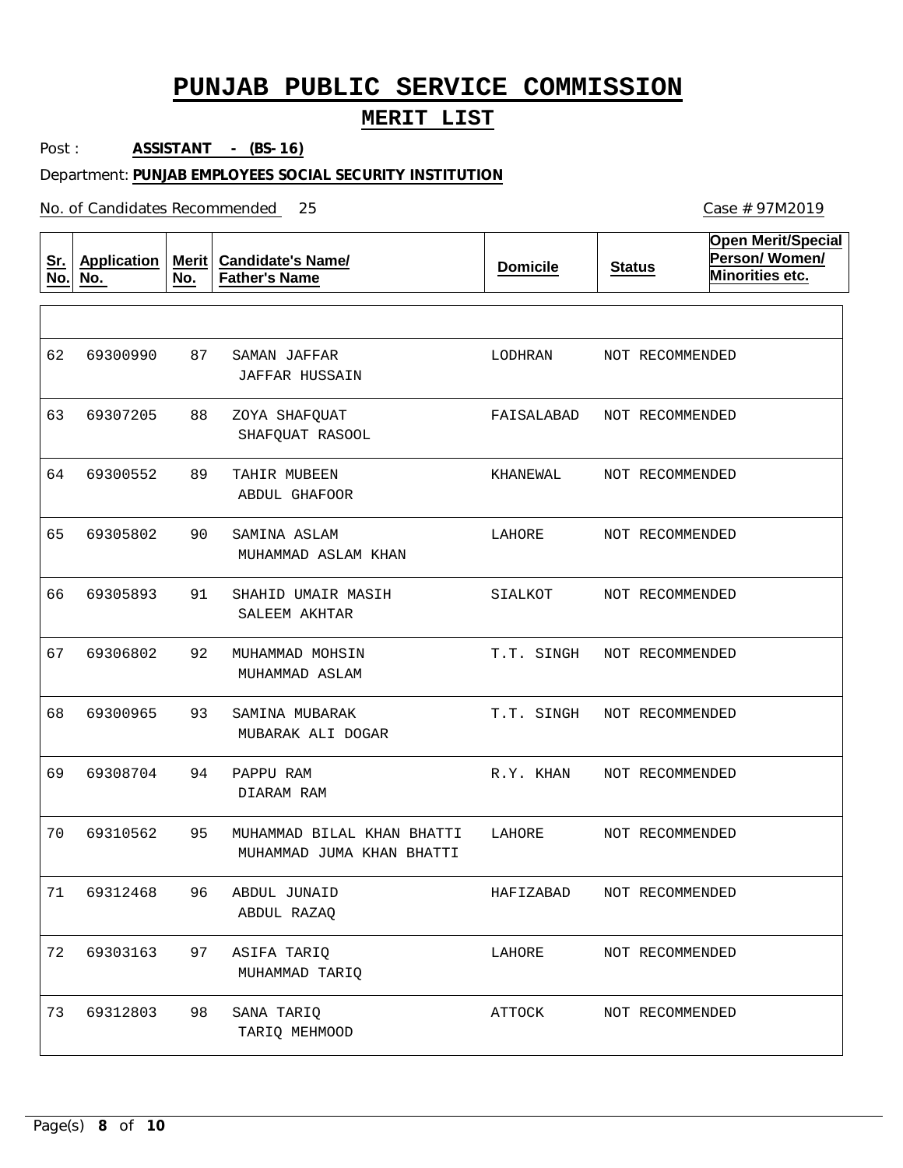## **MERIT LIST**

Post : **ASSISTANT - (BS-16)**

#### Department: **PUNJAB EMPLOYEES SOCIAL SECURITY INSTITUTION**

No. of Candidates Recommended

| <u>Sr.</u><br>No. | <b>Application</b><br>No. | Merit $ $<br>No. | <b>Candidate's Name/</b><br><b>Father's Name</b>        | <b>Domicile</b> | <b>Status</b>   | <b>Open Merit/Special</b><br>Person/Women/<br>Minorities etc. |
|-------------------|---------------------------|------------------|---------------------------------------------------------|-----------------|-----------------|---------------------------------------------------------------|
|                   |                           |                  |                                                         |                 |                 |                                                               |
| 62                | 69300990                  | 87               | SAMAN JAFFAR<br>JAFFAR HUSSAIN                          | LODHRAN         | NOT RECOMMENDED |                                                               |
| 63                | 69307205                  | 88               | ZOYA SHAFQUAT<br>SHAFQUAT RASOOL                        | FAISALABAD      | NOT RECOMMENDED |                                                               |
| 64                | 69300552                  | 89               | TAHIR MUBEEN<br>ABDUL GHAFOOR                           | KHANEWAL        | NOT RECOMMENDED |                                                               |
| 65                | 69305802                  | 90               | SAMINA ASLAM<br>MUHAMMAD ASLAM KHAN                     | LAHORE          | NOT RECOMMENDED |                                                               |
| 66                | 69305893                  | 91               | SHAHID UMAIR MASIH<br>SALEEM AKHTAR                     | SIALKOT         | NOT RECOMMENDED |                                                               |
| 67                | 69306802                  | 92               | MUHAMMAD MOHSIN<br>MUHAMMAD ASLAM                       | T.T. SINGH      | NOT RECOMMENDED |                                                               |
| 68                | 69300965                  | 93               | SAMINA MUBARAK<br>MUBARAK ALI DOGAR                     | T.T. SINGH      | NOT RECOMMENDED |                                                               |
| 69                | 69308704                  | 94               | PAPPU RAM<br>DIARAM RAM                                 | R.Y. KHAN       | NOT RECOMMENDED |                                                               |
| 70                | 69310562                  | 95               | MUHAMMAD BILAL KHAN BHATTI<br>MUHAMMAD JUMA KHAN BHATTI | LAHORE          | NOT RECOMMENDED |                                                               |
| 71                | 69312468                  | 96               | ABDUL JUNAID<br>ABDUL RAZAQ                             | HAFIZABAD       | NOT RECOMMENDED |                                                               |
| 72                | 69303163                  | 97               | ASIFA TARIQ<br>MUHAMMAD TARIQ                           | LAHORE          | NOT RECOMMENDED |                                                               |
| 73                | 69312803                  | 98               | SANA TARIQ<br>TARIQ MEHMOOD                             | ATTOCK          | NOT RECOMMENDED |                                                               |

Page(s) **8** of **10**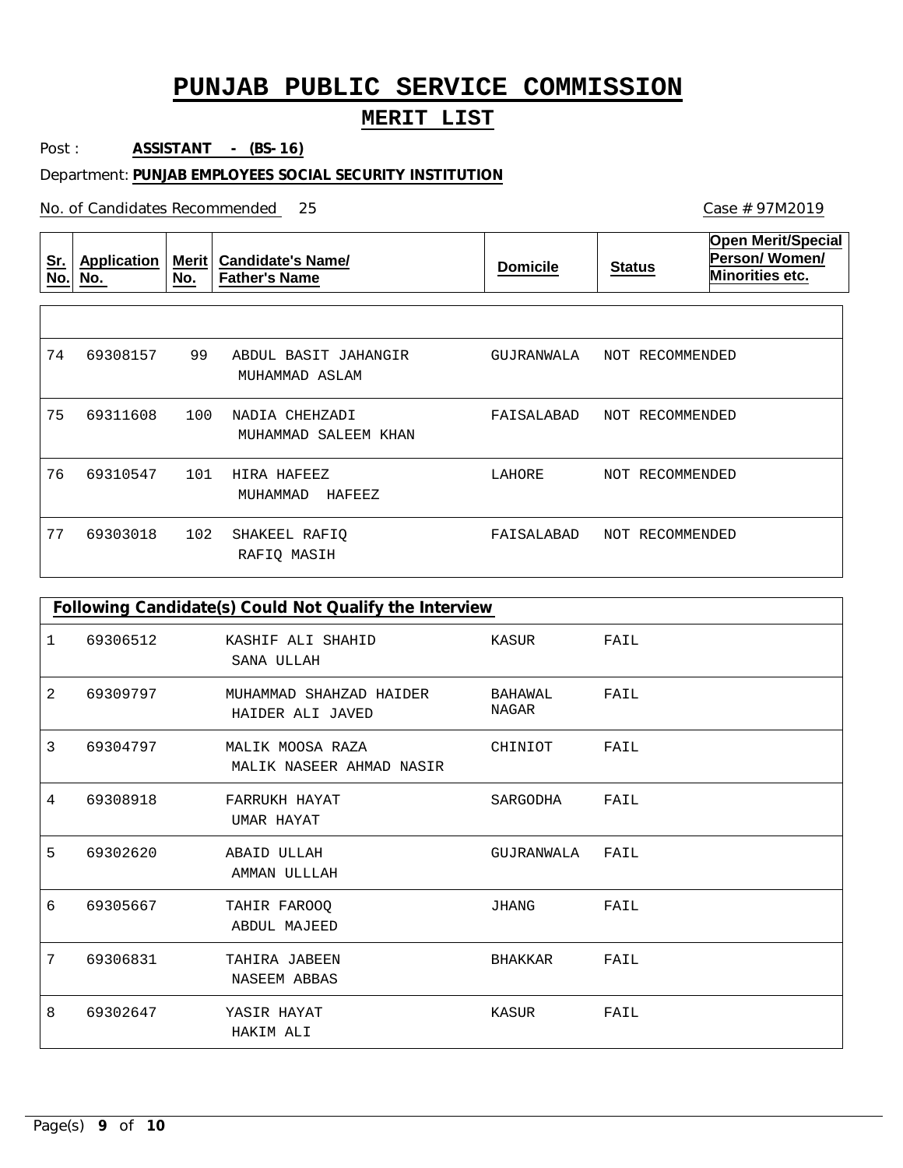## **MERIT LIST**

Post : **ASSISTANT - (BS-16)**

#### Department: **PUNJAB EMPLOYEES SOCIAL SECURITY INSTITUTION**

No. of Candidates Recommended 25

| <u>Sr.</u><br>No. | Application<br>No. | <b>Merit</b><br>No. | <b>Candidate's Name/</b><br><b>Father's Name</b> | <b>Domicile</b> | <b>Status</b>   | <b>Open Merit/Special</b><br><b>Person/Women/</b><br>Minorities etc. |
|-------------------|--------------------|---------------------|--------------------------------------------------|-----------------|-----------------|----------------------------------------------------------------------|
|                   |                    |                     |                                                  |                 |                 |                                                                      |
| 74                | 69308157           | 99                  | ABDUL BASIT JAHANGIR<br>MUHAMMAD ASLAM           | GUJRANWALA      | NOT RECOMMENDED |                                                                      |
| 75                | 69311608           | 100                 | NADIA CHEHZADI<br>MUHAMMAD SALEEM KHAN           | FAISALABAD      | NOT RECOMMENDED |                                                                      |
| 76                | 69310547           | 101                 | HIRA HAFEEZ<br>HAFEEZ<br>MUHAMMAD                | LAHORE          | NOT RECOMMENDED |                                                                      |
| 77                | 69303018           | 102                 | SHAKEEL RAFIQ<br>RAFIQ MASIH                     | FAISALABAD      | NOT RECOMMENDED |                                                                      |

|   | Following Candidate(s) Could Not Qualify the Interview |                                              |                  |      |  |  |  |  |
|---|--------------------------------------------------------|----------------------------------------------|------------------|------|--|--|--|--|
| 1 | 69306512                                               | KASHIF ALI SHAHID<br>SANA ULLAH              | KASUR            | FAIL |  |  |  |  |
| 2 | 69309797                                               | MUHAMMAD SHAHZAD HAIDER<br>HAIDER ALI JAVED  | BAHAWAL<br>NAGAR | FAIL |  |  |  |  |
| 3 | 69304797                                               | MALIK MOOSA RAZA<br>MALIK NASEER AHMAD NASIR | CHINIOT          | FAIL |  |  |  |  |
| 4 | 69308918                                               | FARRUKH HAYAT<br>UMAR HAYAT                  | SARGODHA         | FAIL |  |  |  |  |
| 5 | 69302620                                               | <b>ABAID ULLAH</b><br>AMMAN ULLLAH           | GUJRANWALA       | FAIL |  |  |  |  |
| 6 | 69305667                                               | TAHIR FAROOQ<br><b>ABDUL MAJEED</b>          | JHANG            | FAIL |  |  |  |  |
| 7 | 69306831                                               | TAHIRA JABEEN<br><b>NASEEM ABBAS</b>         | BHAKKAR          | FAIL |  |  |  |  |
| 8 | 69302647                                               | YASIR HAYAT<br>HAKIM ALI                     | KASUR            | FAIL |  |  |  |  |

Page(s) **9** of **10**